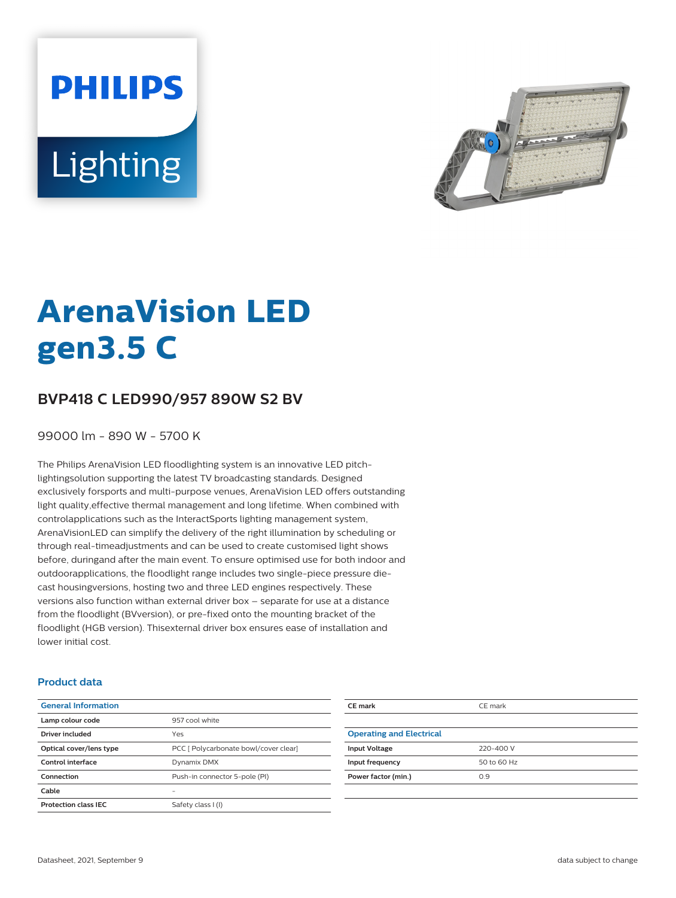**PHILIPS** Lighting



# **ArenaVision LED gen3.5 C**

# **BVP418 C LED990/957 890W S2 BV**

99000 lm - 890 W - 5700 K

The Philips ArenaVision LED floodlighting system is an innovative LED pitchlightingsolution supporting the latest TV broadcasting standards. Designed exclusively forsports and multi-purpose venues, ArenaVision LED offers outstanding light quality,effective thermal management and long lifetime. When combined with controlapplications such as the InteractSports lighting management system, ArenaVisionLED can simplify the delivery of the right illumination by scheduling or through real-timeadjustments and can be used to create customised light shows before, duringand after the main event. To ensure optimised use for both indoor and outdoorapplications, the floodlight range includes two single-piece pressure diecast housingversions, hosting two and three LED engines respectively. These versions also function withan external driver box – separate for use at a distance from the floodlight (BVversion), or pre-fixed onto the mounting bracket of the floodlight (HGB version). Thisexternal driver box ensures ease of installation and lower initial cost.

#### **Product data**

| <b>General Information</b>  |                                       |
|-----------------------------|---------------------------------------|
| Lamp colour code            | 957 cool white                        |
| Driver included             | Yes                                   |
| Optical cover/lens type     | PCC [ Polycarbonate bowl/cover clear] |
| Control interface           | Dynamix DMX                           |
| Connection                  | Push-in connector 5-pole (PI)         |
| Cable                       |                                       |
| <b>Protection class IEC</b> | Safety class I (I)                    |
|                             |                                       |

| CE mark                         | CE mark     |
|---------------------------------|-------------|
|                                 |             |
| <b>Operating and Electrical</b> |             |
| <b>Input Voltage</b>            | 220-400 V   |
| Input frequency                 | 50 to 60 Hz |
| Power factor (min.)             | 0.9         |
|                                 |             |